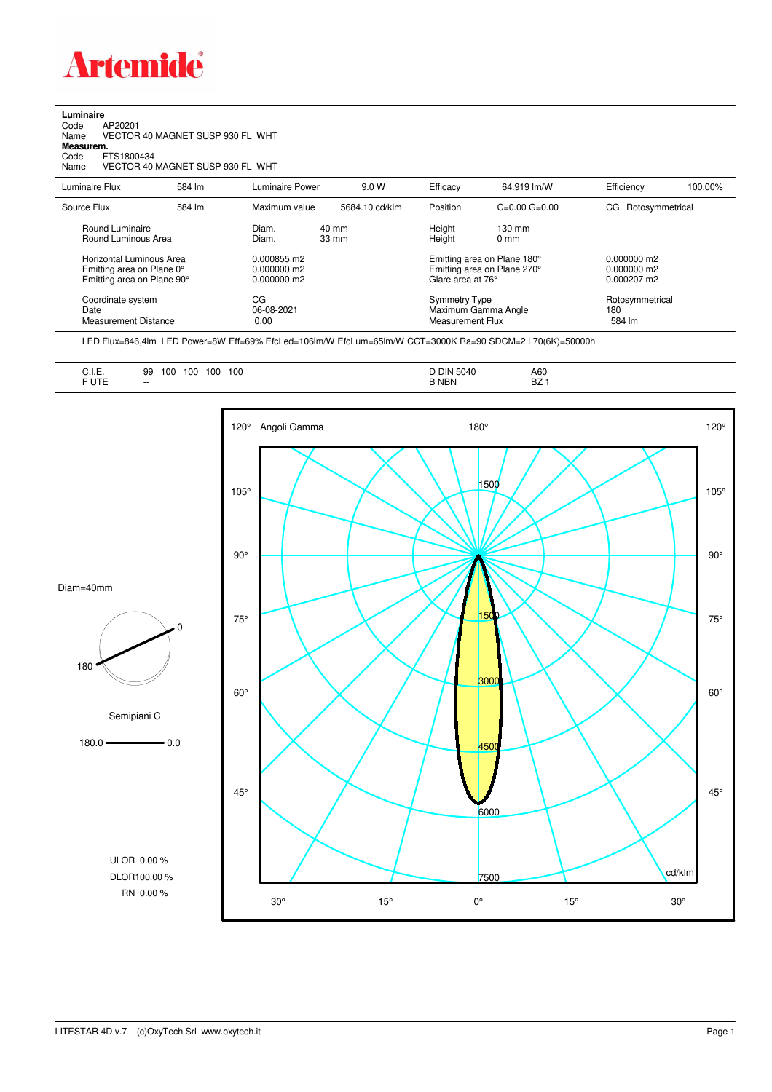

## **Luminaire**<br>Code<br>Name Code AP20201 Name VECTOR 40 MAGNET SUSP 930 FL WHT **Measurem.** Code FTS1800434 Name VECTOR 40 MAGNET SUSP 930 FL WHT

| Luminaire Flux                                                                      | 584 lm | Luminaire Power                               | 9.0 W                    | Efficacy         | 64.919 lm/W                                                                     | Efficiency                       | 100.00% |
|-------------------------------------------------------------------------------------|--------|-----------------------------------------------|--------------------------|------------------|---------------------------------------------------------------------------------|----------------------------------|---------|
| Source Flux                                                                         | 584 lm | Maximum value                                 | 5684.10 cd/klm           | Position         | $C=0.00$ $G=0.00$                                                               | CG Rotosymmetrical               |         |
| Round Luminaire<br>Round Luminous Area                                              |        | Diam.<br>Diam.                                | 40 mm<br>$33 \text{ mm}$ | Height<br>Height | $130 \text{ mm}$<br>$0 \text{ mm}$                                              |                                  |         |
| Horizontal Luminous Area<br>Emitting area on Plane 0°<br>Emitting area on Plane 90° |        | 0.000855 m2<br>$0.000000$ m2<br>$0.000000$ m2 |                          |                  | Emitting area on Plane 180°<br>Emitting area on Plane 270°<br>Glare area at 76° |                                  |         |
| Coordinate system<br>Date<br>Measurement Distance                                   |        | CG<br>06-08-2021<br>0.00                      |                          |                  | Symmetry Type<br>Maximum Gamma Angle<br>Measurement Flux                        | Rotosymmetrical<br>180<br>584 lm |         |

LED Flux=846,4lm LED Power=8W Eff=69% EfcLed=106lm/W EfcLum=65lm/W CCT=3000K Ra=90 SDCM=2 L70(6K)=50000h